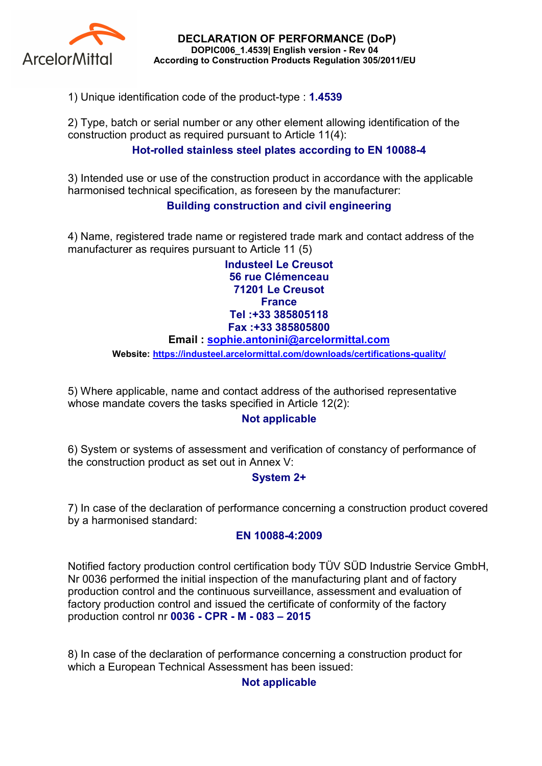

DECLARATION OF PERFORMANCE (DoP) DOPIC006\_1.4539| English version - Rev 04 According to Construction Products Regulation 305/2011/EU

1) Unique identification code of the product-type : 1.4539

2) Type, batch or serial number or any other element allowing identification of the construction product as required pursuant to Article 11(4):

# Hot-rolled stainless steel plates according to EN 10088-4

3) Intended use or use of the construction product in accordance with the applicable harmonised technical specification, as foreseen by the manufacturer:

## Building construction and civil engineering

4) Name, registered trade name or registered trade mark and contact address of the manufacturer as requires pursuant to Article 11 (5)

> Industeel Le Creusot 56 rue Clémenceau 71201 Le Creusot **France** Tel :+33 385805118 Fax :+33 385805800

#### Email : sophie.antonini@arcelormittal.com

Website: https://industeel.arcelormittal.com/downloads/certifications-quality/

5) Where applicable, name and contact address of the authorised representative whose mandate covers the tasks specified in Article 12(2):

## Not applicable

6) System or systems of assessment and verification of constancy of performance of the construction product as set out in Annex V:

## System 2+

7) In case of the declaration of performance concerning a construction product covered by a harmonised standard:

#### EN 10088-4:2009

Notified factory production control certification body TÜV SÜD Industrie Service GmbH, Nr 0036 performed the initial inspection of the manufacturing plant and of factory production control and the continuous surveillance, assessment and evaluation of factory production control and issued the certificate of conformity of the factory production control nr 0036 - CPR - M - 083 – 2015

8) In case of the declaration of performance concerning a construction product for which a European Technical Assessment has been issued:

## Not applicable